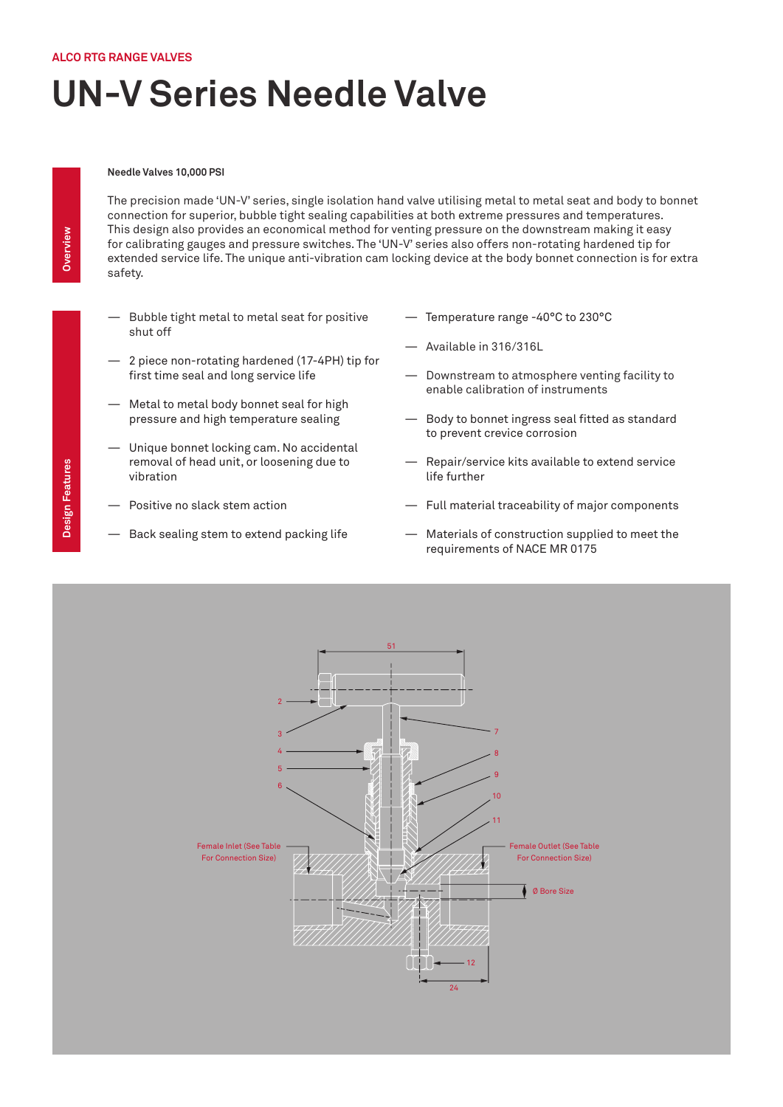## **UN-V Series Needle Valve**

## **Needle Valves 10,000 PSI**

The precision made 'UN-V' series, single isolation hand valve utilising metal to metal seat and body to bonnet connection for superior, bubble tight sealing capabilities at both extreme pressures and temperatures. This design also provides an economical method for venting pressure on the downstream making it easy for calibrating gauges and pressure switches. The 'UN-V' series also offers non-rotating hardened tip for extended service life. The unique anti-vibration cam locking device at the body bonnet connection is for extra safety.

- Bubble tight metal to metal seat for positive shut off
- 2 piece non-rotating hardened (17-4PH) tip for first time seal and long service life
- Metal to metal body bonnet seal for high pressure and high temperature sealing
- Unique bonnet locking cam. No accidental removal of head unit, or loosening due to vibration
- Positive no slack stem action
- Back sealing stem to extend packing life
- Temperature range -40°C to 230°C
- Available in 316/316L
- Downstream to atmosphere venting facility to enable calibration of instruments
- Body to bonnet ingress seal fitted as standard to prevent crevice corrosion
- Repair/service kits available to extend service life further
- Full material traceability of major components
- Materials of construction supplied to meet the requirements of NACE MR 0175

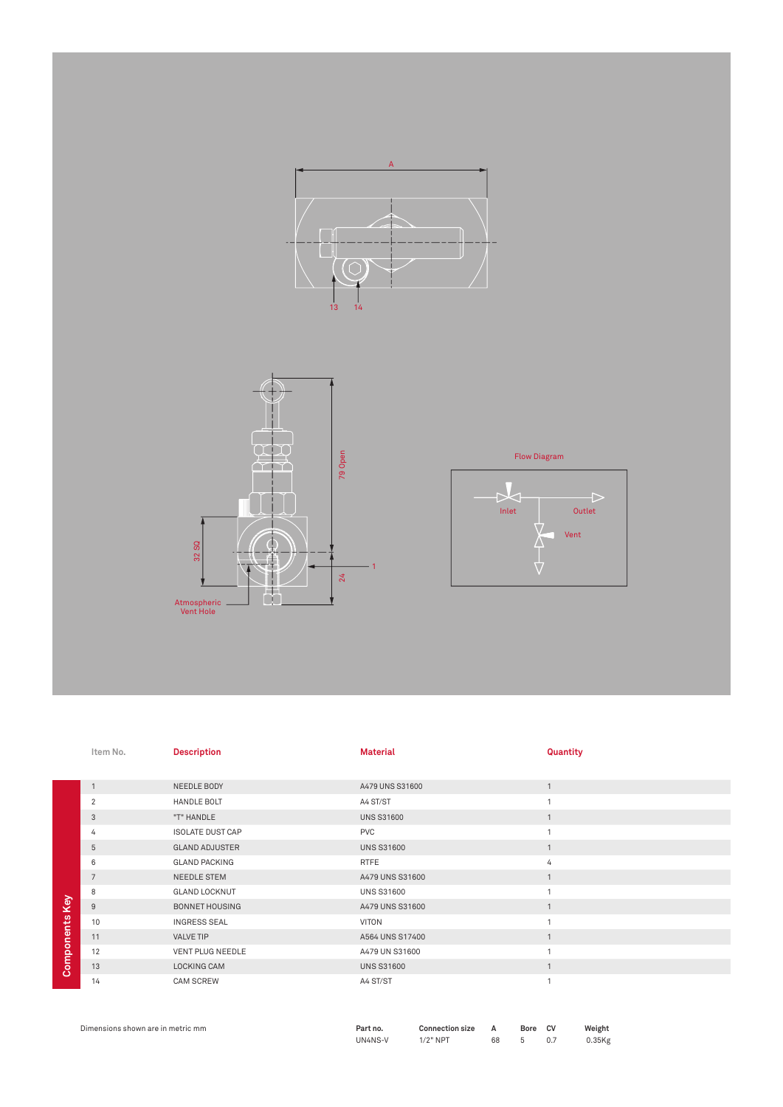



Flow Diagram



|                | Item No.       | <b>Description</b>      | <b>Material</b>   | Quantity       |
|----------------|----------------|-------------------------|-------------------|----------------|
|                |                |                         |                   |                |
|                | $\mathbf{1}$   | NEEDLE BODY             | A479 UNS S31600   | $\mathbf{1}$   |
|                | $\overline{2}$ | HANDLE BOLT             | A4 ST/ST          | $\overline{1}$ |
|                | 3              | "T" HANDLE              | <b>UNS S31600</b> | $\mathbf{1}$   |
|                | 4              | <b>ISOLATE DUST CAP</b> | <b>PVC</b>        | $\mathbf{A}$   |
|                | $\sqrt{5}$     | <b>GLAND ADJUSTER</b>   | <b>UNS S31600</b> | $\mathbf{1}$   |
|                | 6              | <b>GLAND PACKING</b>    | <b>RTFE</b>       | 4              |
|                | $\overline{7}$ | NEEDLE STEM             | A479 UNS S31600   | $\overline{1}$ |
|                | 8              | <b>GLAND LOCKNUT</b>    | <b>UNS S31600</b> |                |
|                | $9\,$          | <b>BONNET HOUSING</b>   | A479 UNS S31600   | $\mathbf{1}$   |
|                | 10             | <b>INGRESS SEAL</b>     | VITON             | $\mathbf{1}$   |
|                | 11             | VALVE TIP               | A564 UNS S17400   | $\mathbf{1}$   |
| Components Key | 12             | <b>VENT PLUG NEEDLE</b> | A479 UN S31600    | $\overline{ }$ |
|                | 13             | LOCKING CAM             | <b>UNS S31600</b> | $\overline{1}$ |
|                | 14             | <b>CAM SCREW</b>        | A4 ST/ST          | $\mathbf{1}$   |
|                |                |                         |                   |                |

| Dimensions shown are in metric mm | Part no. | Connection size A |      | Bore CV | Weight    |
|-----------------------------------|----------|-------------------|------|---------|-----------|
|                                   | UN4NS-V  | $1/2"$ NPT        | 68 5 |         | $0.35$ Kg |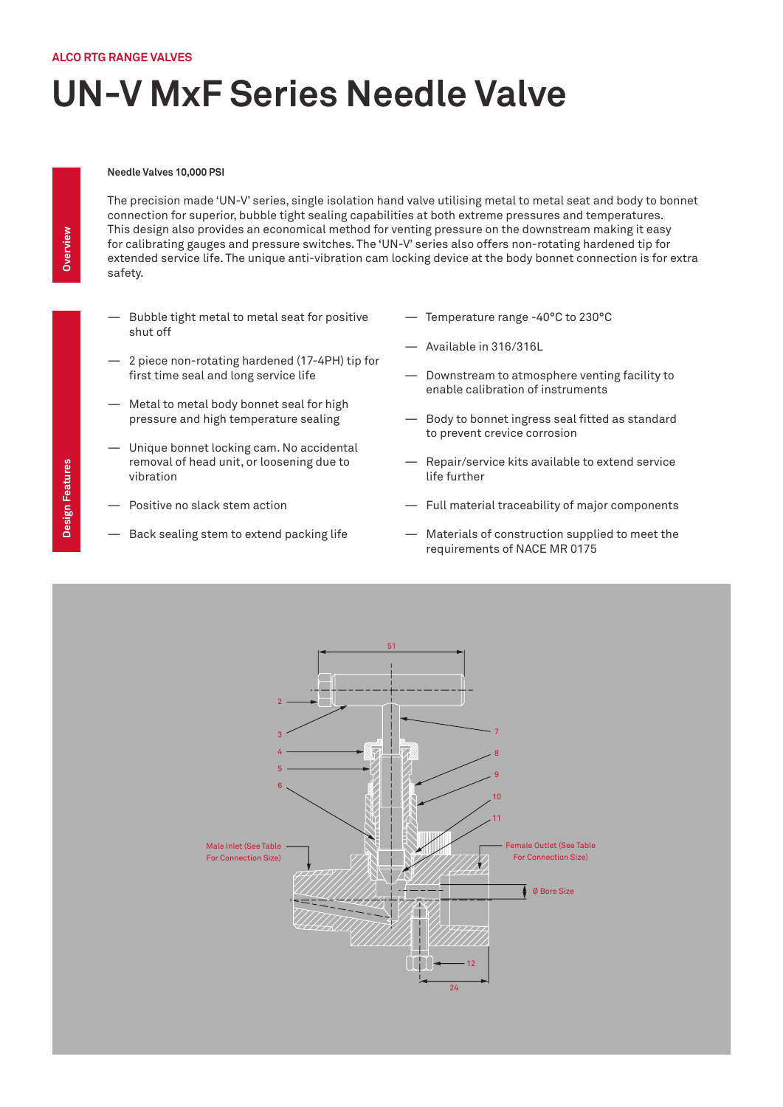## **UN-V MxF Series Needle Valve**

## **Needle Valves 10,000 PSI**

The precision made 'UN-V' series, single isolation hand valve utilising metal to metal seat and body to bonnet connection for superior, bubble tight sealing capabilities at both extreme pressures and temperatures. This design also provides an economical method for venting pressure on the downstream making it easy for calibrating gauges and pressure switches. The 'UN-V' series also offers non-rotating hardened tip for extended service life. The unique anti-vibration cam locking device at the body bonnet connection is for extra safety.

- Bubble tight metal to metal seat for positive shut off
- 2 piece non-rotating hardened (17-4PH) tip for first time seal and long service life
- Metal to metal body bonnet seal for high pressure and high temperature sealing
- Unique bonnet locking cam. No accidental removal of head unit, or loosening due to vibration
- Positive no slack stem action
- Back sealing stem to extend packing life
- Temperature range -40°C to 230°C
- Available in 316/316L
- Downstream to atmosphere venting facility to enable calibration of instruments
- Body to bonnet ingress seal fitted as standard to prevent crevice corrosion
- Repair/service kits available to extend service life further
- Full material traceability of major components
- Materials of construction supplied to meet the requirements of NACE MR 0175